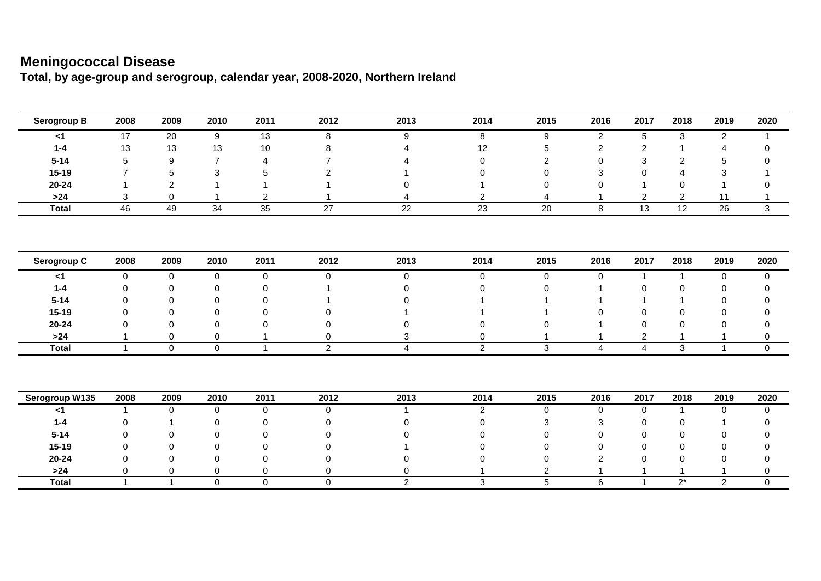## **Meningococcal Disease**

**Total, by age-group and serogroup, calendar year, 2008-2020, Northern Ireland**

| Serogroup B    | 2008           | 2009           | 2010           | 2011           | 2012                | 2013           | 2014            | 2015        | 2016           | 2017            | 2018           | 2019            | 2020        |
|----------------|----------------|----------------|----------------|----------------|---------------------|----------------|-----------------|-------------|----------------|-----------------|----------------|-----------------|-------------|
| $<$ 1          | 17             | 20             | 9              | 13             | 8                   | 9              | 8               | 9           | $\overline{2}$ | 5               | 3              | $\overline{2}$  |             |
| $1 - 4$        | 13             | 13             | 13             | 10             | 8                   | Δ              | 12              |             | $\overline{2}$ | $\overline{2}$  |                | $\overline{4}$  | 0           |
| $5 - 14$       | 5              | 9              | $\overline{7}$ | $\overline{4}$ | $\overline{7}$      |                | 0               | 2           | $\Omega$       | 3               | $\overline{2}$ | 5               | 0           |
| $15 - 19$      |                | 5              | 3              | 5              | 2                   |                | $\Omega$        | ∩           | 3              | $\Omega$        | Δ              | 3               |             |
| $20 - 24$      |                | $\overline{c}$ |                |                |                     | U              |                 |             | ∩              |                 | 0              |                 |             |
| $>24$          | 3              | 0              |                | $\overline{2}$ |                     |                | $\overline{c}$  |             |                | $\overline{2}$  | $\overline{2}$ | 11              |             |
| <b>Total</b>   | 46             | 49             | 34             | 35             | 27                  | 22             | $\overline{23}$ | 20          | 8              | $\overline{13}$ | 12             | $\overline{26}$ | 3           |
| Serogroup C    | 2008           | 2009           | 2010           | 2011           | 2012                | 2013           | 2014            | 2015        | 2016           | 2017            | 2018           | 2019            | 2020        |
|                |                |                |                |                |                     |                |                 |             |                |                 |                |                 |             |
| $<$ 1          | $\mathbf 0$    | 0              | $\mathbf 0$    | 0              | 0                   | 0              | 0               | 0           | $\mathbf 0$    | $\mathbf{1}$    | $\overline{1}$ | $\mathbf 0$     | 0           |
| $1 - 4$        | 0              | 0              | 0              | $\Omega$       |                     | 0              | $\Omega$        | $\Omega$    |                | $\Omega$        | $\Omega$       | 0               | $\Omega$    |
| $5 - 14$       | $\Omega$       | 0              | 0              | $\Omega$       |                     | 0              |                 |             |                |                 |                | $\Omega$        | 0           |
| $15-19$        | ∩              | 0              | 0              | $\Omega$       |                     |                |                 |             |                | $\Omega$        | $\Omega$       | $\Omega$        | $\Omega$    |
| $20 - 24$      | ∩              | 0              | 0              | $\Omega$       | $\Omega$            | 0              | $\Omega$        |             |                | $\Omega$        | $\Omega$       | $\Omega$        | $\Omega$    |
| $>24$          |                | 0              | 0              |                | 0                   | 3              | 0               |             |                | 2               |                |                 | 0           |
| <b>Total</b>   | $\overline{1}$ | 0              | $\mathbf 0$    | $\overline{1}$ | $\overline{2}$      | $\overline{4}$ | $\overline{2}$  | 3           | $\overline{4}$ | 4               | 3              | $\mathbf{1}$    | $\mathbf 0$ |
| Serogroup W135 | 2008           | 2009           | 2010           | 2011           | 2012                | 2013           | 2014            | 2015        | 2016           | 2017            | 2018           | 2019            | 2020        |
| $<$ 1          |                | 0              | 0              | 0              | 0                   |                | $\overline{2}$  | $\mathbf 0$ | 0              | $\mathbf 0$     | $\overline{1}$ | 0               | 0           |
| $1 - 4$        | $\Omega$       |                | 0              | $\Omega$       | $\Omega$            | $\Omega$       | $\Omega$        |             | 3              | $\Omega$        | 0              |                 | $\Omega$    |
| $5 - 14$       | $\Omega$       | 0              | 0              | $\Omega$       | $\Omega$            | U              | $\Omega$        |             | $\Omega$       | $\Omega$        | $\Omega$       | $\Omega$        | 0           |
| $15 - 19$      | ∩              | 0              | 0              | 0              |                     |                | $\Omega$        |             | ∩              | $\Omega$        | 0              | $\Omega$        | 0           |
| $20 - 24$      |                | $\Omega$       | 0              | $\Omega$       | ∩                   | U              |                 |             | $\mathcal{P}$  | $\Omega$        | 0              | ∩               | 0           |
| $>24$          | 0              | 0              | 0              | $\mathbf 0$    | 0                   | 0              |                 | 2           |                |                 |                |                 | 0           |
| <b>Total</b>   | -1             | $\overline{1}$ | $\mathbf 0$    | $\mathbf 0$    | $\mathsf{O}\xspace$ | $\overline{2}$ | 3               | $\sqrt{5}$  | 6              | 1               | $2^*$          | $\sqrt{2}$      | $\mathbf 0$ |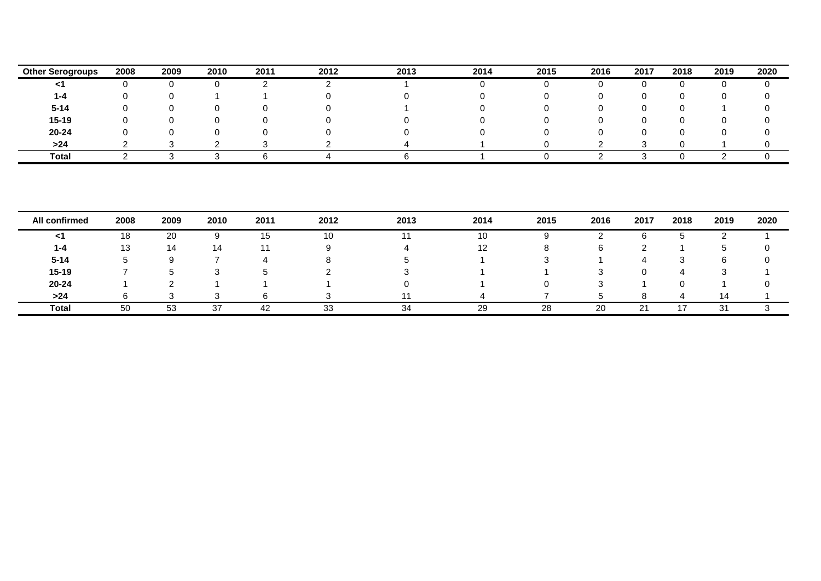| <b>Other Serogroups</b> | 2008 | 2009 | 2010 | 2011 | 2012 | 2013 | 2014 | 2015 | 2016 | 2017 | 2018 | 2019 | 2020 |
|-------------------------|------|------|------|------|------|------|------|------|------|------|------|------|------|
|                         |      |      |      |      |      |      |      |      |      |      |      |      |      |
| 1-4                     |      |      |      |      |      |      |      |      |      |      |      |      |      |
| $5 - 14$                |      |      |      |      |      |      |      |      |      |      |      |      |      |
| $15-19$                 |      |      |      |      |      |      |      |      |      |      |      |      |      |
| 20-24                   |      |      |      |      |      |      |      |      |      |      |      |      |      |
| >24                     |      |      |      |      |      |      |      |      |      |      |      |      |      |
| <b>Total</b>            |      |      |      |      |      |      |      |      |      |      |      |      |      |

| All confirmed | 2008 | 2009 | 2010 | 2011    | 2012 | 2013 | 2014 | 2015 | 2016 | 2017 | 2018 | 2019 | 2020 |
|---------------|------|------|------|---------|------|------|------|------|------|------|------|------|------|
| <1            | 18   | 20   |      | -<br>15 | 10   |      | 10   |      |      | O    |      |      |      |
| 1-4           | 13   | 14   | 14   |         |      |      |      |      |      |      |      |      |      |
| $5 - 14$      | G    | u    |      |         |      |      |      |      |      |      |      |      |      |
| $15 - 19$     |      |      |      |         |      |      |      |      |      |      |      |      |      |
| 20-24         |      |      |      |         |      |      |      |      |      |      |      |      |      |
| >24           |      |      |      |         |      |      |      |      |      |      |      | 14   |      |
| <b>Total</b>  | 50   | 53   | -37  | 42      | 33   | 34   | 29   | 28   | 20   | 21   |      | 31   |      |